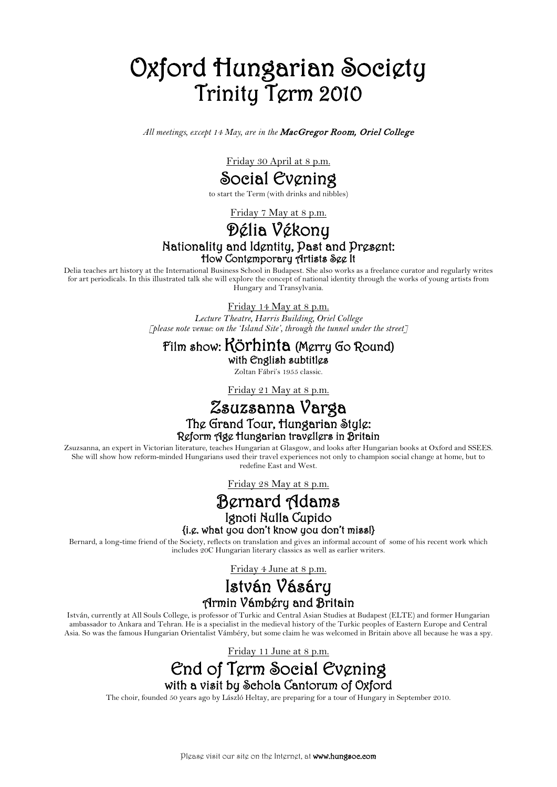# Oxford Hungarian Society Trinity Term 2010

*All meetings, except 14 May, are in the* MacGregor Room, Oriel College

Friday 30 April at 8 p.m.

Social Evening

to start the Term (with drinks and nibbles)

Friday 7 May at 8 p.m.

## Délia Vékony Nationality and Identity, Past and Present: How Contemporary Artists See It

Delia teaches art history at the International Business School in Budapest. She also works as a freelance curator and regularly writes for art periodicals. In this illustrated talk she will explore the concept of national identity through the works of young artists from Hungary and Transylvania.

Friday 14 May at 8 p.m.

*Lecture Theatre, Harris Building, Oriel College [please note venue: on the 'Island Site', through the tunnel under the street]*

#### Film show: Körhinta (Merry Go Round)

with English subtitles Zoltan Fábri's 1955 classic.

Friday 21 May at 8 p.m.

## Zsuzsanna Varga The Grand Tour, Hungarian Style: Reform Age Hungarian travellers in Britain

Zsuzsanna, an expert in Victorian literature, teaches Hungarian at Glasgow, and looks after Hungarian books at Oxford and SSEES. She will show how reform-minded Hungarians used their travel experiences not only to champion social change at home, but to redefine East and West.

Friday 28 May at 8 p.m.

### Bernard Adams Ignoti Nulla Cupido<br>{i.g. what you don't know you don't miss!}

Bernard, a long-time friend of the Society, reflects on translation and gives an informal account of some of his recent work which includes 20C Hungarian literary classics as well as earlier writers.

Friday 4 June at 8 p.m.

#### István Vásáry Armin Vámbéry and Britain

István, currently at All Souls College, is professor of Turkic and Central Asian Studies at Budapest (ELTE) and former Hungarian ambassador to Ankara and Tehran. He is a specialist in the medieval history of the Turkic peoples of Eastern Europe and Central Asia. So was the famous Hungarian Orientalist Vámbéry, but some claim he was welcomed in Britain above all because he was a spy.

Friday 11 June at 8 p.m.



The choir, founded 50 years ago by László Heltay, are preparing for a tour of Hungary in September 2010.